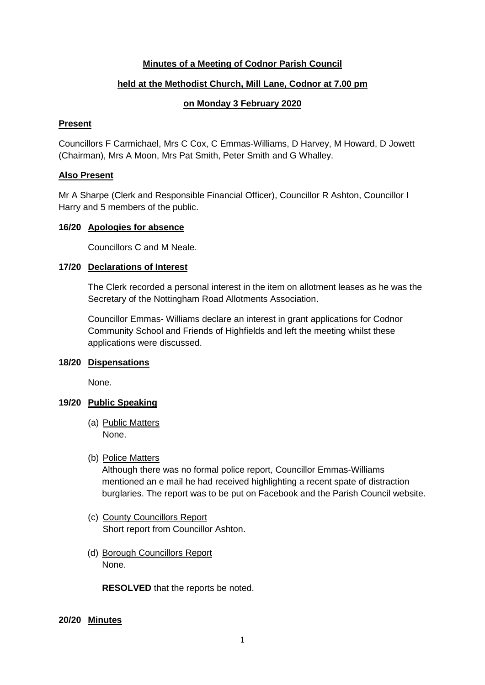### **Minutes of a Meeting of Codnor Parish Council**

# **held at the Methodist Church, Mill Lane, Codnor at 7.00 pm**

### **on Monday 3 February 2020**

#### **Present**

Councillors F Carmichael, Mrs C Cox, C Emmas-Williams, D Harvey, M Howard, D Jowett (Chairman), Mrs A Moon, Mrs Pat Smith, Peter Smith and G Whalley.

### **Also Present**

Mr A Sharpe (Clerk and Responsible Financial Officer), Councillor R Ashton, Councillor I Harry and 5 members of the public.

#### **16/20 Apologies for absence**

Councillors C and M Neale.

### **17/20 Declarations of Interest**

The Clerk recorded a personal interest in the item on allotment leases as he was the Secretary of the Nottingham Road Allotments Association.

Councillor Emmas- Williams declare an interest in grant applications for Codnor Community School and Friends of Highfields and left the meeting whilst these applications were discussed.

### **18/20 Dispensations**

None.

### **19/20 Public Speaking**

- (a) Public Matters None.
- (b) Police Matters

Although there was no formal police report, Councillor Emmas-Williams mentioned an e mail he had received highlighting a recent spate of distraction burglaries. The report was to be put on Facebook and the Parish Council website.

- (c) County Councillors Report Short report from Councillor Ashton.
- (d) Borough Councillors Report None.

**RESOLVED** that the reports be noted.

**20/20 Minutes**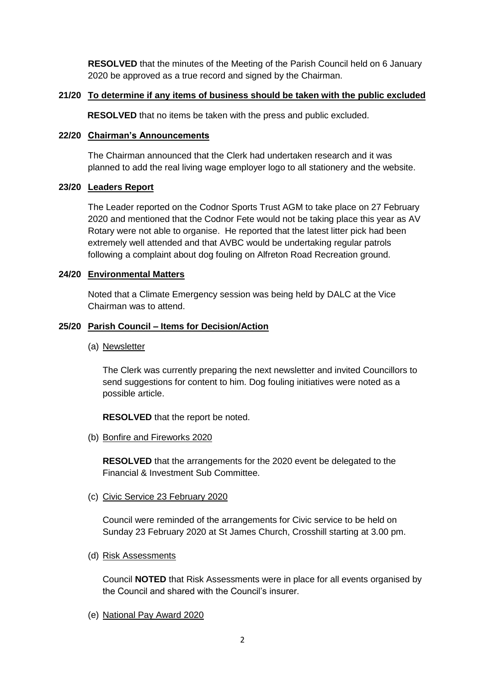**RESOLVED** that the minutes of the Meeting of the Parish Council held on 6 January 2020 be approved as a true record and signed by the Chairman.

### **21/20 To determine if any items of business should be taken with the public excluded**

**RESOLVED** that no items be taken with the press and public excluded.

### **22/20 Chairman's Announcements**

The Chairman announced that the Clerk had undertaken research and it was planned to add the real living wage employer logo to all stationery and the website.

# **23/20 Leaders Report**

The Leader reported on the Codnor Sports Trust AGM to take place on 27 February 2020 and mentioned that the Codnor Fete would not be taking place this year as AV Rotary were not able to organise. He reported that the latest litter pick had been extremely well attended and that AVBC would be undertaking regular patrols following a complaint about dog fouling on Alfreton Road Recreation ground.

# **24/20 Environmental Matters**

Noted that a Climate Emergency session was being held by DALC at the Vice Chairman was to attend.

# **25/20 Parish Council – Items for Decision/Action**

(a) Newsletter

The Clerk was currently preparing the next newsletter and invited Councillors to send suggestions for content to him. Dog fouling initiatives were noted as a possible article.

**RESOLVED** that the report be noted.

(b) Bonfire and Fireworks 2020

**RESOLVED** that the arrangements for the 2020 event be delegated to the Financial & Investment Sub Committee.

(c) Civic Service 23 February 2020

Council were reminded of the arrangements for Civic service to be held on Sunday 23 February 2020 at St James Church, Crosshill starting at 3.00 pm.

(d) Risk Assessments

Council **NOTED** that Risk Assessments were in place for all events organised by the Council and shared with the Council's insurer.

(e) National Pay Award 2020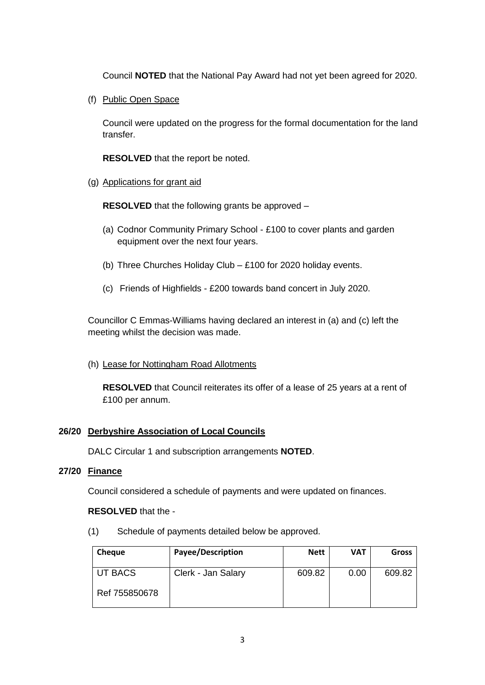Council **NOTED** that the National Pay Award had not yet been agreed for 2020.

(f) Public Open Space

Council were updated on the progress for the formal documentation for the land transfer.

**RESOLVED** that the report be noted.

(g) Applications for grant aid

**RESOLVED** that the following grants be approved –

- (a) Codnor Community Primary School £100 to cover plants and garden equipment over the next four years.
- (b) Three Churches Holiday Club £100 for 2020 holiday events.
- (c) Friends of Highfields £200 towards band concert in July 2020.

Councillor C Emmas-Williams having declared an interest in (a) and (c) left the meeting whilst the decision was made.

### (h) Lease for Nottingham Road Allotments

**RESOLVED** that Council reiterates its offer of a lease of 25 years at a rent of £100 per annum.

# **26/20 Derbyshire Association of Local Councils**

DALC Circular 1 and subscription arrangements **NOTED**.

### **27/20 Finance**

Council considered a schedule of payments and were updated on finances.

### **RESOLVED** that the -

(1) Schedule of payments detailed below be approved.

| <b>Cheque</b>  | <b>Payee/Description</b> | <b>Nett</b> | <b>VAT</b> | Gross  |
|----------------|--------------------------|-------------|------------|--------|
| <b>UT BACS</b> | Clerk - Jan Salary       | 609.82      | 0.00       | 609.82 |
| Ref 755850678  |                          |             |            |        |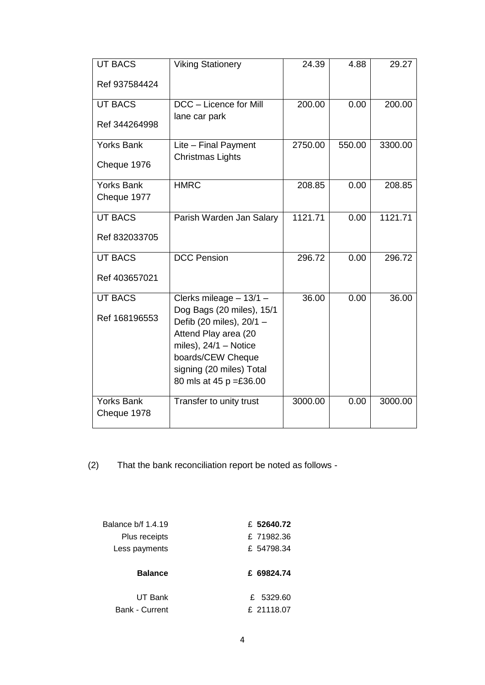| <b>UT BACS</b>    | <b>Viking Stationery</b>                                                                                                                                                             | 24.39   | 4.88   | 29.27   |
|-------------------|--------------------------------------------------------------------------------------------------------------------------------------------------------------------------------------|---------|--------|---------|
| Ref 937584424     |                                                                                                                                                                                      |         |        |         |
| <b>UT BACS</b>    | DCC - Licence for Mill                                                                                                                                                               | 200.00  | 0.00   | 200.00  |
| Ref 344264998     | lane car park                                                                                                                                                                        |         |        |         |
| <b>Yorks Bank</b> | Lite - Final Payment                                                                                                                                                                 | 2750.00 | 550.00 | 3300.00 |
| Cheque 1976       | <b>Christmas Lights</b>                                                                                                                                                              |         |        |         |
| <b>Yorks Bank</b> | <b>HMRC</b>                                                                                                                                                                          | 208.85  | 0.00   | 208.85  |
| Cheque 1977       |                                                                                                                                                                                      |         |        |         |
| <b>UT BACS</b>    | Parish Warden Jan Salary                                                                                                                                                             | 1121.71 | 0.00   | 1121.71 |
| Ref 832033705     |                                                                                                                                                                                      |         |        |         |
| <b>UT BACS</b>    | <b>DCC Pension</b>                                                                                                                                                                   | 296.72  | 0.00   | 296.72  |
| Ref 403657021     |                                                                                                                                                                                      |         |        |         |
| <b>UT BACS</b>    | Clerks mileage - 13/1 -                                                                                                                                                              | 36.00   | 0.00   | 36.00   |
| Ref 168196553     | Dog Bags (20 miles), 15/1<br>Defib (20 miles), 20/1 -<br>Attend Play area (20<br>miles), $24/1 -$ Notice<br>boards/CEW Cheque<br>signing (20 miles) Total<br>80 mls at 45 p = £36.00 |         |        |         |
| <b>Yorks Bank</b> | Transfer to unity trust                                                                                                                                                              | 3000.00 | 0.00   | 3000.00 |
| Cheque 1978       |                                                                                                                                                                                      |         |        |         |

(2) That the bank reconciliation report be noted as follows -

| £ 52640.72 |
|------------|
| £71982.36  |
| £ 54798.34 |
|            |
| £ 69824.74 |
| £ 5329.60  |
|            |